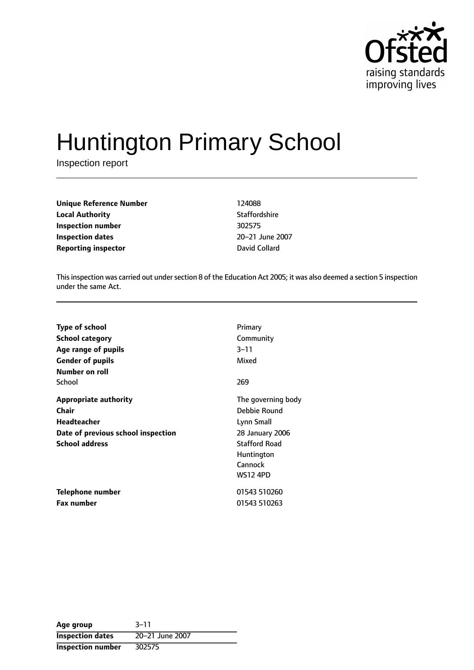

# Huntington Primary School

Inspection report

**Unique Reference Number** 124088 **Local Authority Contract Contract Contract Authority** Staffordshire **Inspection number** 302575 **Inspection dates** 20-21 June 2007 **Reporting inspector David Collard** 

This inspection was carried out under section 8 of the Education Act 2005; it was also deemed a section 5 inspection under the same Act.

| <b>Type of school</b><br><b>School category</b><br>Age range of pupils<br><b>Gender of pupils</b><br>Number on roll | Primary<br>Community<br>$3 - 11$<br>Mixed                                                                                               |
|---------------------------------------------------------------------------------------------------------------------|-----------------------------------------------------------------------------------------------------------------------------------------|
| School                                                                                                              | 269                                                                                                                                     |
| <b>Appropriate authority</b><br>Chair<br>Headteacher<br>Date of previous school inspection<br><b>School address</b> | The governing body<br>Debbie Round<br>Lynn Small<br>28 January 2006<br><b>Stafford Road</b><br>Huntington<br>Cannock<br><b>WS12 4PD</b> |
| Telephone number                                                                                                    | 01543 510260                                                                                                                            |
| <b>Fax number</b>                                                                                                   | 01543 510263                                                                                                                            |

| Age group                | $3 - 11$        |
|--------------------------|-----------------|
| <b>Inspection dates</b>  | 20-21 June 2007 |
| <b>Inspection number</b> | 302575          |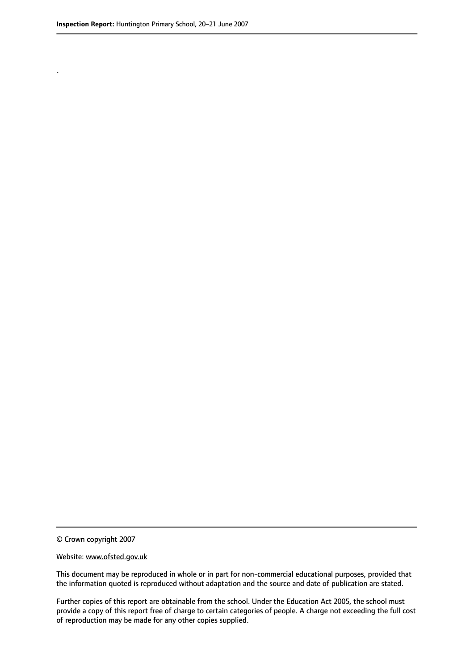.

© Crown copyright 2007

#### Website: www.ofsted.gov.uk

This document may be reproduced in whole or in part for non-commercial educational purposes, provided that the information quoted is reproduced without adaptation and the source and date of publication are stated.

Further copies of this report are obtainable from the school. Under the Education Act 2005, the school must provide a copy of this report free of charge to certain categories of people. A charge not exceeding the full cost of reproduction may be made for any other copies supplied.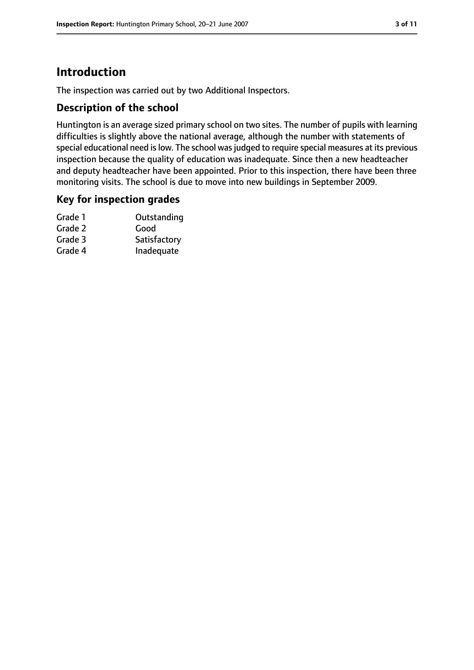# **Introduction**

The inspection was carried out by two Additional Inspectors.

## **Description of the school**

Huntington is an average sized primary school on two sites. The number of pupils with learning difficulties is slightly above the national average, although the number with statements of special educational need is low. The school was judged to require special measures at its previous inspection because the quality of education was inadequate. Since then a new headteacher and deputy headteacher have been appointed. Prior to this inspection, there have been three monitoring visits. The school is due to move into new buildings in September 2009.

## **Key for inspection grades**

| Grade 1 | Outstanding  |
|---------|--------------|
| Grade 2 | Good         |
| Grade 3 | Satisfactory |
| Grade 4 | Inadequate   |
|         |              |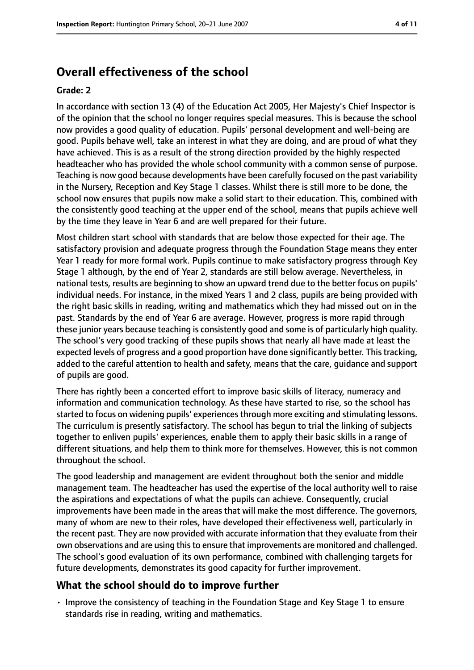## **Overall effectiveness of the school**

#### **Grade: 2**

In accordance with section 13 (4) of the Education Act 2005, Her Majesty's Chief Inspector is of the opinion that the school no longer requires special measures. This is because the school now provides a good quality of education. Pupils' personal development and well-being are good. Pupils behave well, take an interest in what they are doing, and are proud of what they have achieved. This is as a result of the strong direction provided by the highly respected headteacher who has provided the whole school community with a common sense of purpose. Teaching is now good because developments have been carefully focused on the past variability in the Nursery, Reception and Key Stage 1 classes. Whilst there is still more to be done, the school now ensures that pupils now make a solid start to their education. This, combined with the consistently good teaching at the upper end of the school, means that pupils achieve well by the time they leave in Year 6 and are well prepared for their future.

Most children start school with standards that are below those expected for their age. The satisfactory provision and adequate progress through the Foundation Stage means they enter Year 1 ready for more formal work. Pupils continue to make satisfactory progress through Key Stage 1 although, by the end of Year 2, standards are still below average. Nevertheless, in national tests, results are beginning to show an upward trend due to the better focus on pupils' individual needs. For instance, in the mixed Years 1 and 2 class, pupils are being provided with the right basic skills in reading, writing and mathematics which they had missed out on in the past. Standards by the end of Year 6 are average. However, progress is more rapid through these junior years because teaching is consistently good and some is of particularly high quality. The school's very good tracking of these pupils shows that nearly all have made at least the expected levels of progress and a good proportion have done significantly better. This tracking, added to the careful attention to health and safety, means that the care, guidance and support of pupils are good.

There has rightly been a concerted effort to improve basic skills of literacy, numeracy and information and communication technology. As these have started to rise, so the school has started to focus on widening pupils' experiences through more exciting and stimulating lessons. The curriculum is presently satisfactory. The school has begun to trial the linking of subjects together to enliven pupils' experiences, enable them to apply their basic skills in a range of different situations, and help them to think more for themselves. However, this is not common throughout the school.

The good leadership and management are evident throughout both the senior and middle management team. The headteacher has used the expertise of the local authority well to raise the aspirations and expectations of what the pupils can achieve. Consequently, crucial improvements have been made in the areas that will make the most difference. The governors, many of whom are new to their roles, have developed their effectiveness well, particularly in the recent past. They are now provided with accurate information that they evaluate from their own observations and are using thisto ensure that improvements are monitored and challenged. The school's good evaluation of its own performance, combined with challenging targets for future developments, demonstrates its good capacity for further improvement.

#### **What the school should do to improve further**

• Improve the consistency of teaching in the Foundation Stage and Key Stage 1 to ensure standards rise in reading, writing and mathematics.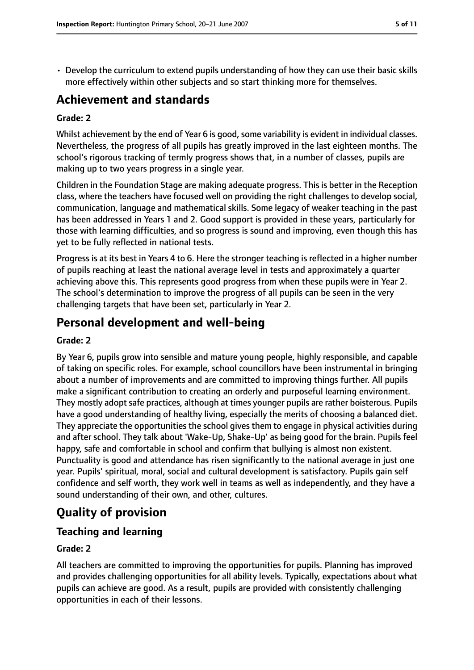• Develop the curriculum to extend pupils understanding of how they can use their basic skills more effectively within other subjects and so start thinking more for themselves.

# **Achievement and standards**

#### **Grade: 2**

Whilst achievement by the end of Year 6 is good, some variability is evident in individual classes. Nevertheless, the progress of all pupils has greatly improved in the last eighteen months. The school's rigorous tracking of termly progress shows that, in a number of classes, pupils are making up to two years progress in a single year.

Children in the Foundation Stage are making adequate progress. This is better in the Reception class, where the teachers have focused well on providing the right challenges to develop social, communication, language and mathematical skills. Some legacy of weaker teaching in the past has been addressed in Years 1 and 2. Good support is provided in these years, particularly for those with learning difficulties, and so progress is sound and improving, even though this has yet to be fully reflected in national tests.

Progress is at its best in Years 4 to 6. Here the stronger teaching is reflected in a higher number of pupils reaching at least the national average level in tests and approximately a quarter achieving above this. This represents good progress from when these pupils were in Year 2. The school's determination to improve the progress of all pupils can be seen in the very challenging targets that have been set, particularly in Year 2.

## **Personal development and well-being**

#### **Grade: 2**

By Year 6, pupils grow into sensible and mature young people, highly responsible, and capable of taking on specific roles. For example, school councillors have been instrumental in bringing about a number of improvements and are committed to improving things further. All pupils make a significant contribution to creating an orderly and purposeful learning environment. They mostly adopt safe practices, although at times younger pupils are rather boisterous. Pupils have a good understanding of healthy living, especially the merits of choosing a balanced diet. They appreciate the opportunities the school gives them to engage in physical activities during and after school. They talk about 'Wake-Up, Shake-Up' as being good for the brain. Pupils feel happy, safe and comfortable in school and confirm that bullying is almost non existent. Punctuality is good and attendance has risen significantly to the national average in just one year. Pupils' spiritual, moral, social and cultural development is satisfactory. Pupils gain self confidence and self worth, they work well in teams as well as independently, and they have a sound understanding of their own, and other, cultures.

# **Quality of provision**

## **Teaching and learning**

## **Grade: 2**

All teachers are committed to improving the opportunities for pupils. Planning has improved and provides challenging opportunities for all ability levels. Typically, expectations about what pupils can achieve are good. As a result, pupils are provided with consistently challenging opportunities in each of their lessons.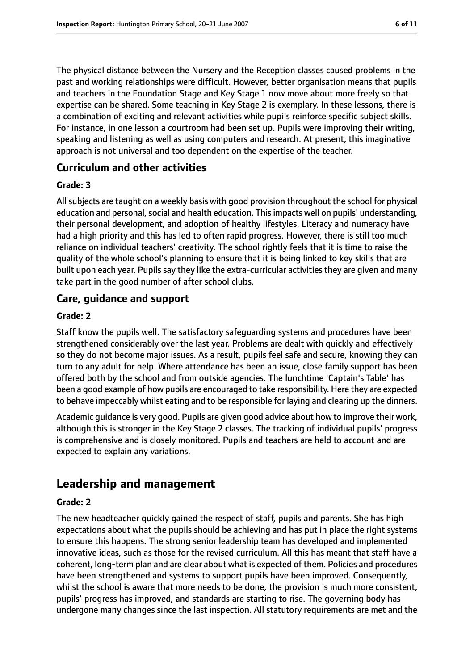The physical distance between the Nursery and the Reception classes caused problems in the past and working relationships were difficult. However, better organisation means that pupils and teachers in the Foundation Stage and Key Stage 1 now move about more freely so that expertise can be shared. Some teaching in Key Stage 2 is exemplary. In these lessons, there is a combination of exciting and relevant activities while pupils reinforce specific subject skills. For instance, in one lesson a courtroom had been set up. Pupils were improving their writing, speaking and listening as well as using computers and research. At present, this imaginative approach is not universal and too dependent on the expertise of the teacher.

## **Curriculum and other activities**

#### **Grade: 3**

All subjects are taught on a weekly basis with good provision throughout the school for physical education and personal, social and health education. This impacts well on pupils' understanding, their personal development, and adoption of healthy lifestyles. Literacy and numeracy have had a high priority and this has led to often rapid progress. However, there is still too much reliance on individual teachers' creativity. The school rightly feels that it is time to raise the quality of the whole school's planning to ensure that it is being linked to key skills that are built upon each year. Pupils say they like the extra-curricular activities they are given and many take part in the good number of after school clubs.

## **Care, guidance and support**

#### **Grade: 2**

Staff know the pupils well. The satisfactory safeguarding systems and procedures have been strengthened considerably over the last year. Problems are dealt with quickly and effectively so they do not become major issues. As a result, pupils feel safe and secure, knowing they can turn to any adult for help. Where attendance has been an issue, close family support has been offered both by the school and from outside agencies. The lunchtime 'Captain's Table' has been a good example of how pupils are encouraged to take responsibility. Here they are expected to behave impeccably whilst eating and to be responsible for laying and clearing up the dinners.

Academic guidance is very good. Pupils are given good advice about how to improve their work, although this is stronger in the Key Stage 2 classes. The tracking of individual pupils' progress is comprehensive and is closely monitored. Pupils and teachers are held to account and are expected to explain any variations.

# **Leadership and management**

#### **Grade: 2**

The new headteacher quickly gained the respect of staff, pupils and parents. She has high expectations about what the pupils should be achieving and has put in place the right systems to ensure this happens. The strong senior leadership team has developed and implemented innovative ideas, such as those for the revised curriculum. All this has meant that staff have a coherent, long-term plan and are clear about what is expected of them. Policies and procedures have been strengthened and systems to support pupils have been improved. Consequently, whilst the school is aware that more needs to be done, the provision is much more consistent, pupils' progress has improved, and standards are starting to rise. The governing body has undergone many changes since the last inspection. All statutory requirements are met and the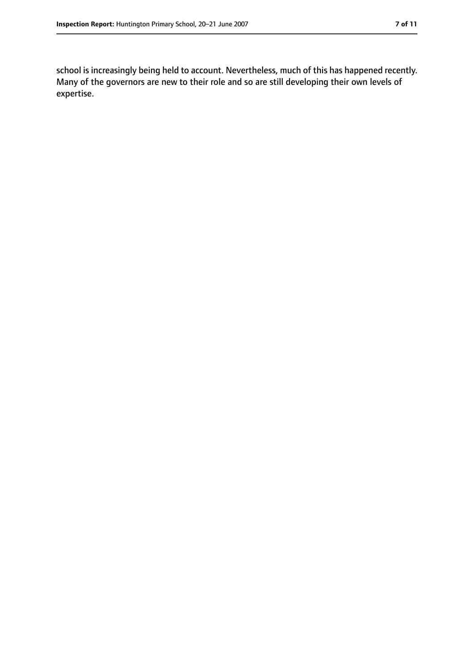school is increasingly being held to account. Nevertheless, much of this has happened recently. Many of the governors are new to their role and so are still developing their own levels of expertise.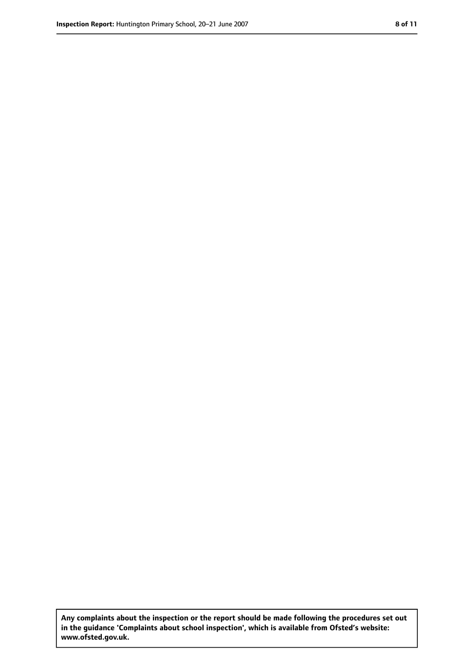**Any complaints about the inspection or the report should be made following the procedures set out in the guidance 'Complaints about school inspection', which is available from Ofsted's website: www.ofsted.gov.uk.**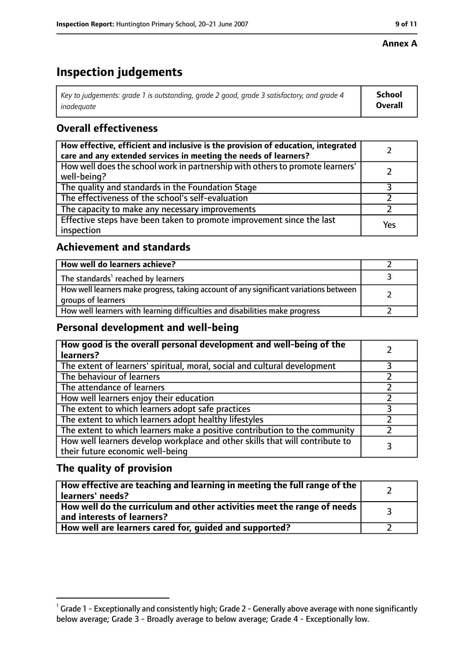#### **Annex A**

# **Inspection judgements**

| Key to judgements: grade 1 is outstanding, grade 2 good, grade 3 satisfactory, and grade 4 $\,$ | <b>School</b>  |
|-------------------------------------------------------------------------------------------------|----------------|
| inadequate                                                                                      | <b>Overall</b> |

## **Overall effectiveness**

| How effective, efficient and inclusive is the provision of education, integrated<br>care and any extended services in meeting the needs of learners? |     |
|------------------------------------------------------------------------------------------------------------------------------------------------------|-----|
| How well does the school work in partnership with others to promote learners'<br>well-being?                                                         |     |
| The quality and standards in the Foundation Stage                                                                                                    |     |
| The effectiveness of the school's self-evaluation                                                                                                    |     |
| The capacity to make any necessary improvements                                                                                                      |     |
| Effective steps have been taken to promote improvement since the last<br>inspection                                                                  | Yes |

## **Achievement and standards**

| How well do learners achieve?                                                                               |  |
|-------------------------------------------------------------------------------------------------------------|--|
| The standards <sup>1</sup> reached by learners                                                              |  |
| How well learners make progress, taking account of any significant variations between<br>groups of learners |  |
| How well learners with learning difficulties and disabilities make progress                                 |  |

## **Personal development and well-being**

| How good is the overall personal development and well-being of the<br>learners?                                  |  |
|------------------------------------------------------------------------------------------------------------------|--|
| The extent of learners' spiritual, moral, social and cultural development                                        |  |
| The behaviour of learners                                                                                        |  |
| The attendance of learners                                                                                       |  |
| How well learners enjoy their education                                                                          |  |
| The extent to which learners adopt safe practices                                                                |  |
| The extent to which learners adopt healthy lifestyles                                                            |  |
| The extent to which learners make a positive contribution to the community                                       |  |
| How well learners develop workplace and other skills that will contribute to<br>their future economic well-being |  |

## **The quality of provision**

| How effective are teaching and learning in meeting the full range of the<br>learners' needs?          |  |
|-------------------------------------------------------------------------------------------------------|--|
| How well do the curriculum and other activities meet the range of needs<br>and interests of learners? |  |
| How well are learners cared for, guided and supported?                                                |  |

 $^1$  Grade 1 - Exceptionally and consistently high; Grade 2 - Generally above average with none significantly below average; Grade 3 - Broadly average to below average; Grade 4 - Exceptionally low.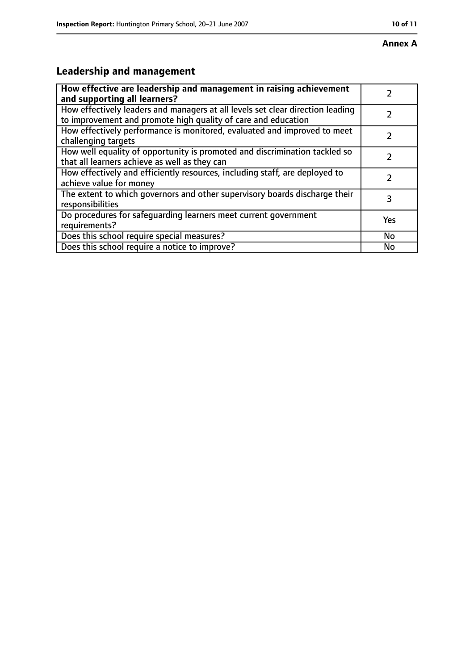# **Leadership and management**

| How effective are leadership and management in raising achievement<br>and supporting all learners?                                              |     |
|-------------------------------------------------------------------------------------------------------------------------------------------------|-----|
| How effectively leaders and managers at all levels set clear direction leading<br>to improvement and promote high quality of care and education |     |
| How effectively performance is monitored, evaluated and improved to meet<br>challenging targets                                                 |     |
| How well equality of opportunity is promoted and discrimination tackled so<br>that all learners achieve as well as they can                     |     |
| How effectively and efficiently resources, including staff, are deployed to<br>achieve value for money                                          | 2   |
| The extent to which governors and other supervisory boards discharge their<br>responsibilities                                                  | 3   |
| Do procedures for safequarding learners meet current government<br>requirements?                                                                | Yes |
| Does this school require special measures?                                                                                                      | No  |
| Does this school require a notice to improve?                                                                                                   | No  |